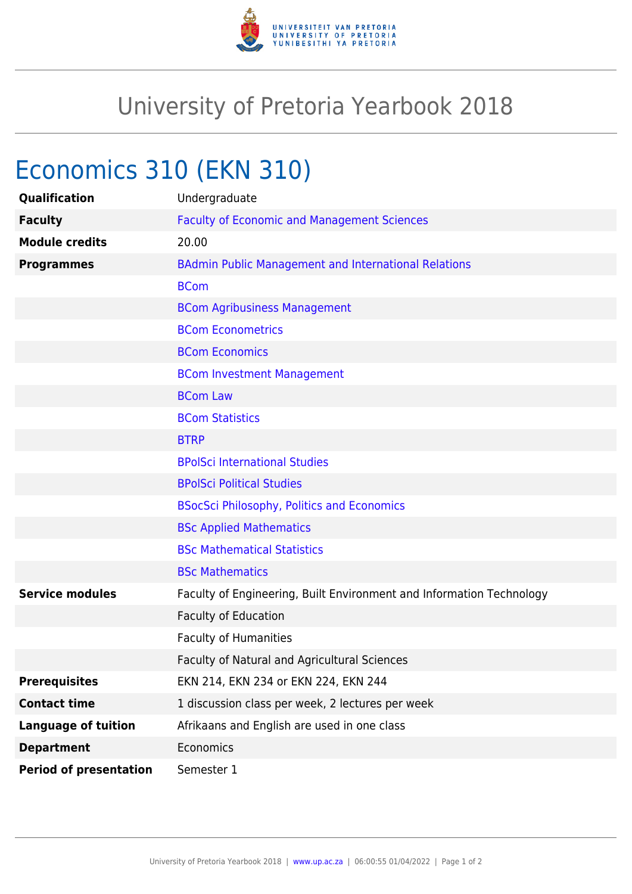

## University of Pretoria Yearbook 2018

## Economics 310 (EKN 310)

| Qualification                 | Undergraduate                                                        |
|-------------------------------|----------------------------------------------------------------------|
| <b>Faculty</b>                | <b>Faculty of Economic and Management Sciences</b>                   |
| <b>Module credits</b>         | 20.00                                                                |
| <b>Programmes</b>             | <b>BAdmin Public Management and International Relations</b>          |
|                               | <b>BCom</b>                                                          |
|                               | <b>BCom Agribusiness Management</b>                                  |
|                               | <b>BCom Econometrics</b>                                             |
|                               | <b>BCom Economics</b>                                                |
|                               | <b>BCom Investment Management</b>                                    |
|                               | <b>BCom Law</b>                                                      |
|                               | <b>BCom Statistics</b>                                               |
|                               | <b>BTRP</b>                                                          |
|                               | <b>BPolSci International Studies</b>                                 |
|                               | <b>BPolSci Political Studies</b>                                     |
|                               | <b>BSocSci Philosophy, Politics and Economics</b>                    |
|                               | <b>BSc Applied Mathematics</b>                                       |
|                               | <b>BSc Mathematical Statistics</b>                                   |
|                               | <b>BSc Mathematics</b>                                               |
| <b>Service modules</b>        | Faculty of Engineering, Built Environment and Information Technology |
|                               | <b>Faculty of Education</b>                                          |
|                               | <b>Faculty of Humanities</b>                                         |
|                               | Faculty of Natural and Agricultural Sciences                         |
| <b>Prerequisites</b>          | EKN 214, EKN 234 or EKN 224, EKN 244                                 |
| <b>Contact time</b>           | 1 discussion class per week, 2 lectures per week                     |
| <b>Language of tuition</b>    | Afrikaans and English are used in one class                          |
| <b>Department</b>             | Economics                                                            |
| <b>Period of presentation</b> | Semester 1                                                           |